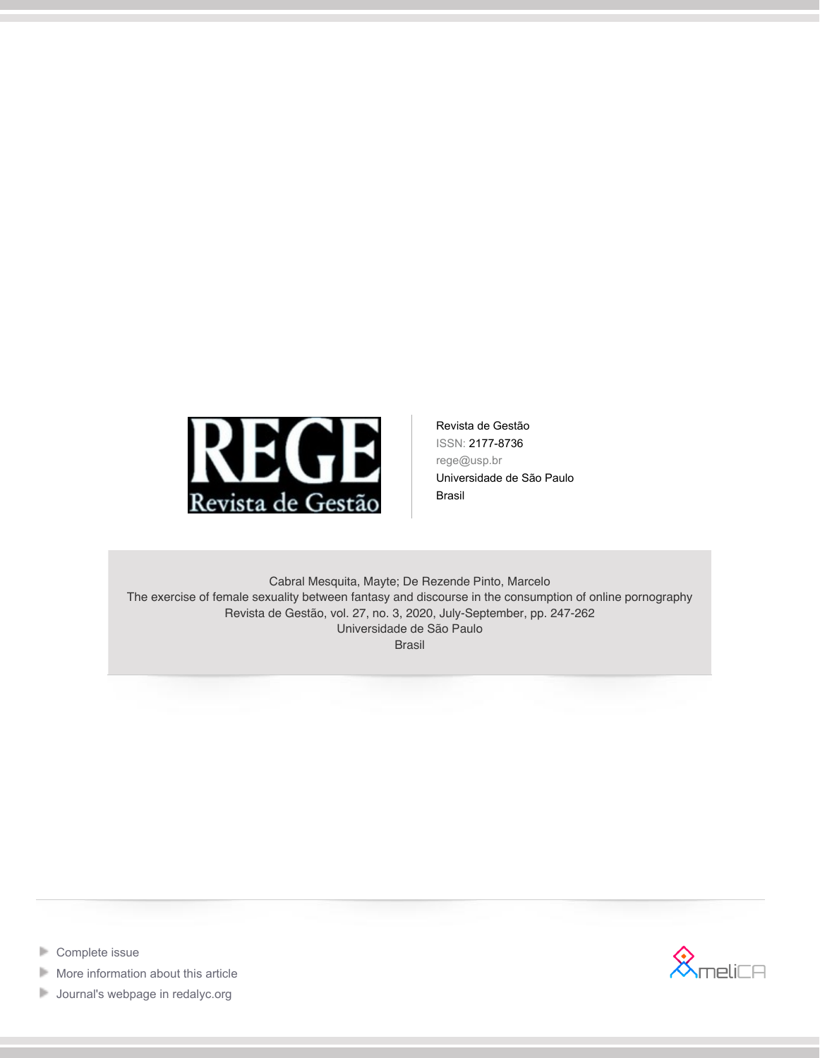

Revista de Gestão ISSN: 2177-8736 rege@usp.br Universidade de São Paulo Brasil

Cabral Mesquita, Mayte; De Rezende Pinto, Marcelo The exercise of female sexuality between fantasy and discourse in the consumption of online pornography Revista de Gestão, vol. 27, no. 3, 2020, July-September, pp. 247-262 Universidade de São Paulo Brasil



- [Complete issue](http://portal.amelica.org/revista.oa?id=154&numero=1352) Þ
- Þ [More information about this article](http://portal.amelica.org/ameli/jatsRepo/154/1541352004)
- [Journal's webpage in redalyc.org](http://portal.amelica.org/revista.oa?id=154)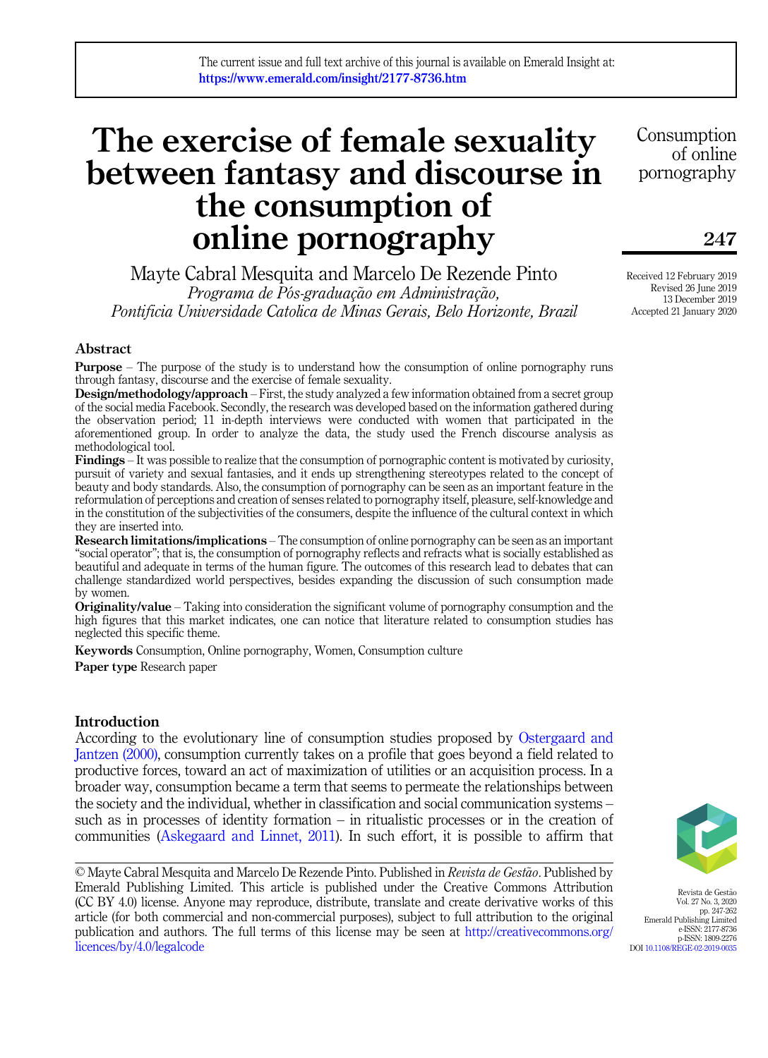# The exercise of female sexuality between fantasy and discourse in the consumption of online pornography

Mayte Cabral Mesquita and Marcelo De Rezende Pinto Programa de Pós-graduação em Administração, Pontificia Universidade Catolica de Minas Gerais, Belo Horizonte, Brazil

Abstract

Purpose – The purpose of the study is to understand how the consumption of online pornography runs through fantasy, discourse and the exercise of female sexuality.

Design/methodology/approach – First, the study analyzed a few information obtained from a secret group of the social media Facebook. Secondly, the research was developed based on the information gathered during the observation period; 11 in-depth interviews were conducted with women that participated in the aforementioned group. In order to analyze the data, the study used the French discourse analysis as methodological tool.

Findings – It was possible to realize that the consumption of pornographic content is motivated by curiosity, pursuit of variety and sexual fantasies, and it ends up strengthening stereotypes related to the concept of beauty and body standards. Also, the consumption of pornography can be seen as an important feature in the reformulation of perceptions and creation of senses related to pornography itself, pleasure, self-knowledge and in the constitution of the subjectivities of the consumers, despite the influence of the cultural context in which they are inserted into.

Research limitations/implications – The consumption of online pornography can be seen as an important "social operator"; that is, the consumption of pornography reflects and refracts what is socially established as beautiful and adequate in terms of the human figure. The outcomes of this research lead to debates that can challenge standardized world perspectives, besides expanding the discussion of such consumption made by women.

Originality/value – Taking into consideration the significant volume of pornography consumption and the high figures that this market indicates, one can notice that literature related to consumption studies has neglected this specific theme.

Keywords Consumption, Online pornography, Women, Consumption culture

Paper type Research paper

# Introduction

According to the evolutionary line of consumption studies proposed by Ostergaard and Jantzen (2000), consumption currently takes on a profile that goes beyond a field related to productive forces, toward an act of maximization of utilities or an acquisition process. In a broader way, consumption became a term that seems to permeate the relationships between the society and the individual, whether in classification and social communication systems – such as in processes of identity formation – in ritualistic processes or in the creation of communities (Askegaard and Linnet, 2011). In such effort, it is possible to affirm that

© Mayte Cabral Mesquita and Marcelo De Rezende Pinto. Published in Revista de Gestão. Published by Emerald Publishing Limited. This article is published under the Creative Commons Attribution (CC BY 4.0) license. Anyone may reproduce, distribute, translate and create derivative works of this article (for both commercial and non-commercial purposes), subject to full attribution to the original publication and authors. The full terms of this license may be seen at [http://creativecommons.org/](http://creativecommons.org/licences/by/4.0/legalcode) [licences/by/4.0/legalcode](http://creativecommons.org/licences/by/4.0/legalcode)

Received 12 February 2019 Revised 26 June 2019 13 December 2019 Accepted 21 January 2020

247

Consumption of online pornography



Revista de Gestão Vol. 27 No. 3, 2020 pp. 247-262 Emerald Publishing Limited e-ISSN: 2177-8736 p-ISSN: 1809-2276 DOI [10.1108/REGE-02-2019-0035](https://doi.org/10.1108/REGE-02-2019-0035)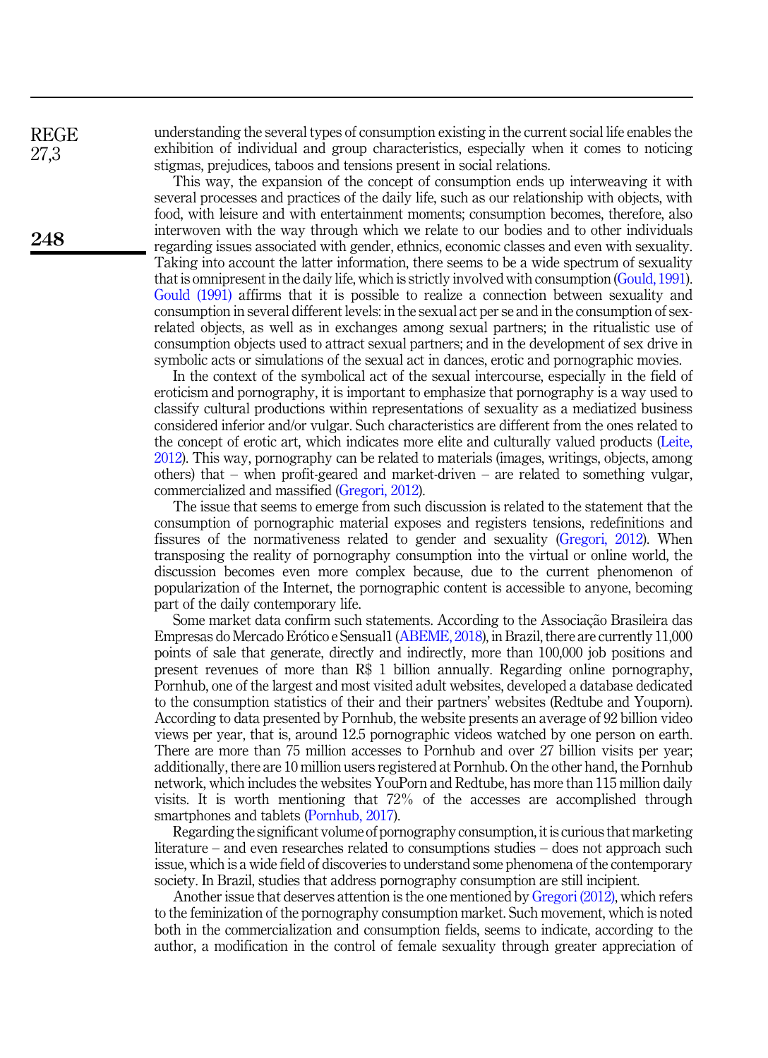understanding the several types of consumption existing in the current social life enables the exhibition of individual and group characteristics, especially when it comes to noticing stigmas, prejudices, taboos and tensions present in social relations.

This way, the expansion of the concept of consumption ends up interweaving it with several processes and practices of the daily life, such as our relationship with objects, with food, with leisure and with entertainment moments; consumption becomes, therefore, also interwoven with the way through which we relate to our bodies and to other individuals regarding issues associated with gender, ethnics, economic classes and even with sexuality. Taking into account the latter information, there seems to be a wide spectrum of sexuality that is omnipresent in the daily life, which is strictly involved with consumption (Gould, 1991). Gould (1991) affirms that it is possible to realize a connection between sexuality and consumption in several different levels: in the sexual act per se and in the consumption of sexrelated objects, as well as in exchanges among sexual partners; in the ritualistic use of consumption objects used to attract sexual partners; and in the development of sex drive in symbolic acts or simulations of the sexual act in dances, erotic and pornographic movies.

In the context of the symbolical act of the sexual intercourse, especially in the field of eroticism and pornography, it is important to emphasize that pornography is a way used to classify cultural productions within representations of sexuality as a mediatized business considered inferior and/or vulgar. Such characteristics are different from the ones related to the concept of erotic art, which indicates more elite and culturally valued products (Leite, 2012). This way, pornography can be related to materials (images, writings, objects, among others) that – when profit-geared and market-driven – are related to something vulgar, commercialized and massified (Gregori, 2012).

The issue that seems to emerge from such discussion is related to the statement that the consumption of pornographic material exposes and registers tensions, redefinitions and fissures of the normativeness related to gender and sexuality (Gregori, 2012). When transposing the reality of pornography consumption into the virtual or online world, the discussion becomes even more complex because, due to the current phenomenon of popularization of the Internet, the pornographic content is accessible to anyone, becoming part of the daily contemporary life.

Some market data confirm such statements. According to the Associação Brasileira das Empresas do Mercado Erótico e Sensual1 (ABEME, 2018), in Brazil, there are currently 11,000 points of sale that generate, directly and indirectly, more than 100,000 job positions and present revenues of more than R\$ 1 billion annually. Regarding online pornography, Pornhub, one of the largest and most visited adult websites, developed a database dedicated to the consumption statistics of their and their partners' websites (Redtube and Youporn). According to data presented by Pornhub, the website presents an average of 92 billion video views per year, that is, around 12.5 pornographic videos watched by one person on earth. There are more than 75 million accesses to Pornhub and over 27 billion visits per year; additionally, there are 10 million users registered at Pornhub. On the other hand, the Pornhub network, which includes the websites YouPorn and Redtube, has more than 115 million daily visits. It is worth mentioning that 72% of the accesses are accomplished through smartphones and tablets (Pornhub, 2017).

Regarding the significant volume of pornography consumption, it is curious that marketing literature – and even researches related to consumptions studies – does not approach such issue, which is a wide field of discoveries to understand some phenomena of the contemporary society. In Brazil, studies that address pornography consumption are still incipient.

Another issue that deserves attention is the one mentioned by Gregori (2012), which refers to the feminization of the pornography consumption market. Such movement, which is noted both in the commercialization and consumption fields, seems to indicate, according to the author, a modification in the control of female sexuality through greater appreciation of

248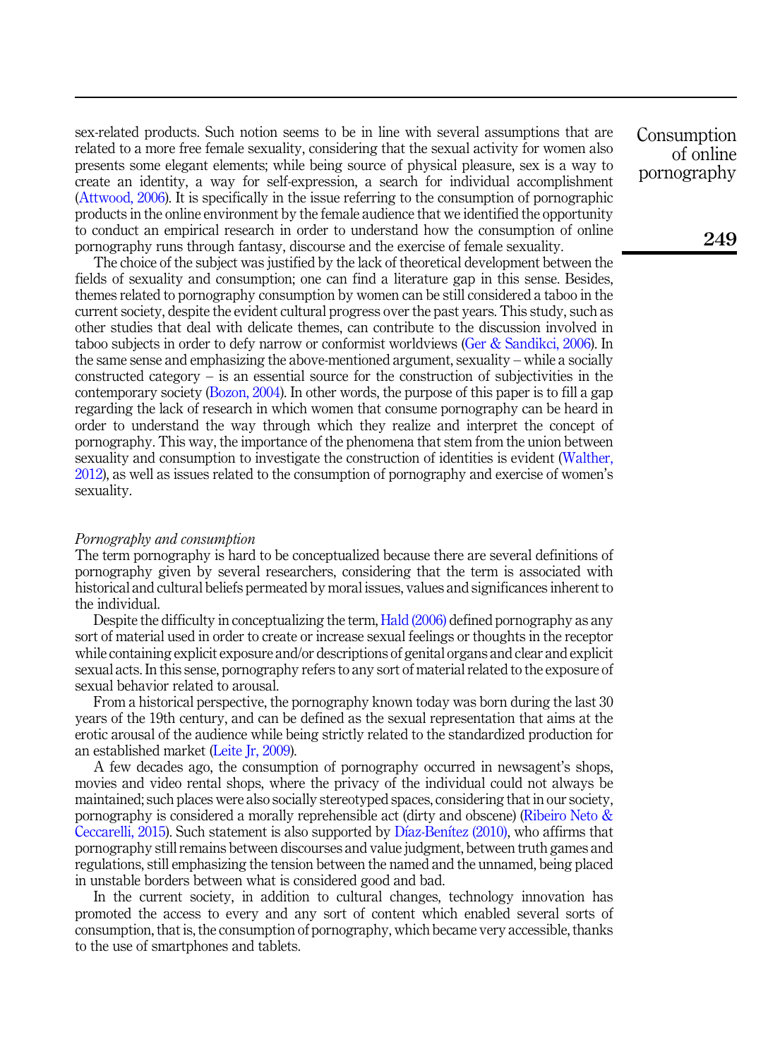sex-related products. Such notion seems to be in line with several assumptions that are related to a more free female sexuality, considering that the sexual activity for women also presents some elegant elements; while being source of physical pleasure, sex is a way to create an identity, a way for self-expression, a search for individual accomplishment (Attwood, 2006). It is specifically in the issue referring to the consumption of pornographic products in the online environment by the female audience that we identified the opportunity to conduct an empirical research in order to understand how the consumption of online pornography runs through fantasy, discourse and the exercise of female sexuality.

The choice of the subject was justified by the lack of theoretical development between the fields of sexuality and consumption; one can find a literature gap in this sense. Besides, themes related to pornography consumption by women can be still considered a taboo in the current society, despite the evident cultural progress over the past years. This study, such as other studies that deal with delicate themes, can contribute to the discussion involved in taboo subjects in order to defy narrow or conformist worldviews (Ger & Sandikci, 2006). In the same sense and emphasizing the above-mentioned argument, sexuality – while a socially  $constanted$  category – is an essential source for the construction of subjectivities in the contemporary society (Bozon, 2004). In other words, the purpose of this paper is to fill a gap regarding the lack of research in which women that consume pornography can be heard in order to understand the way through which they realize and interpret the concept of pornography. This way, the importance of the phenomena that stem from the union between sexuality and consumption to investigate the construction of identities is evident (Walther, 2012), as well as issues related to the consumption of pornography and exercise of women's sexuality.

# Pornography and consumption

The term pornography is hard to be conceptualized because there are several definitions of pornography given by several researchers, considering that the term is associated with historical and cultural beliefs permeated by moral issues, values and significances inherent to the individual.

Despite the difficulty in conceptualizing the term, Hald (2006) defined pornography as any sort of material used in order to create or increase sexual feelings or thoughts in the receptor while containing explicit exposure and/or descriptions of genital organs and clear and explicit sexual acts. In this sense, pornography refers to any sort of material related to the exposure of sexual behavior related to arousal.

From a historical perspective, the pornography known today was born during the last 30 years of the 19th century, and can be defined as the sexual representation that aims at the erotic arousal of the audience while being strictly related to the standardized production for an established market (Leite Jr, 2009).

A few decades ago, the consumption of pornography occurred in newsagent's shops, movies and video rental shops, where the privacy of the individual could not always be maintained; such places were also socially stereotyped spaces, considering that in our society, pornography is considered a morally reprehensible act (dirty and obscene) (Ribeiro Neto & Ceccarelli, 2015). Such statement is also supported by Díaz-Benítez (2010), who affirms that pornography still remains between discourses and value judgment, between truth games and regulations, still emphasizing the tension between the named and the unnamed, being placed in unstable borders between what is considered good and bad.

In the current society, in addition to cultural changes, technology innovation has promoted the access to every and any sort of content which enabled several sorts of consumption, that is, the consumption of pornography, which became very accessible, thanks to the use of smartphones and tablets.

Consumption of online pornography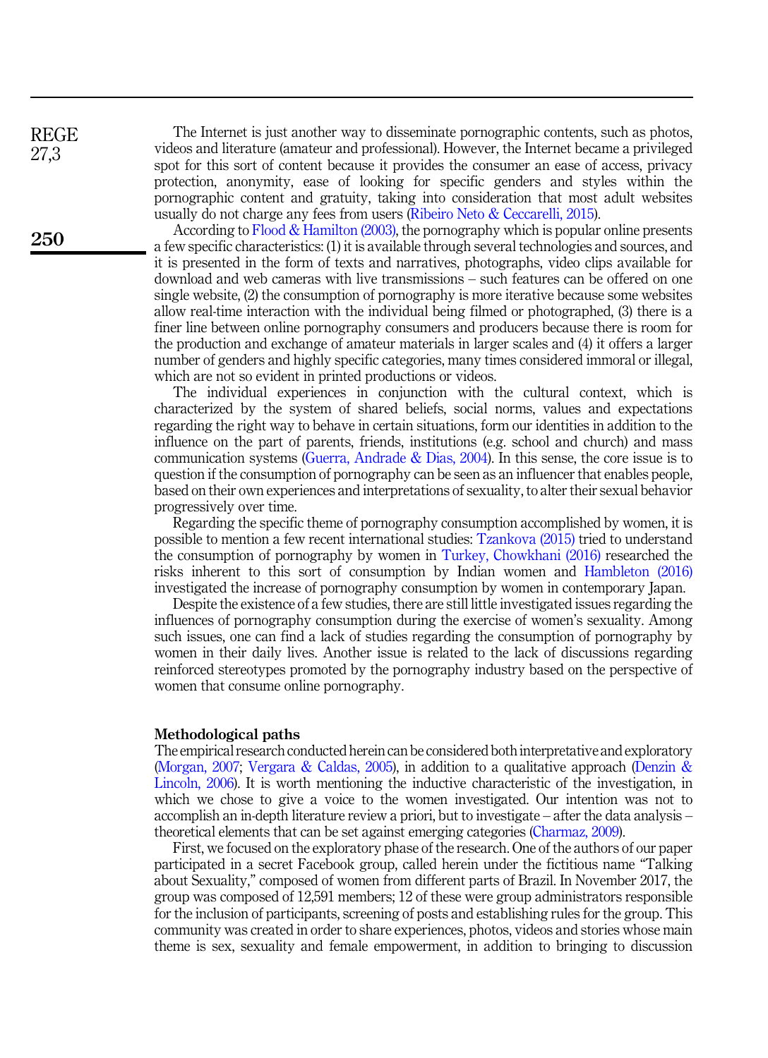REGE 27,3

250

The Internet is just another way to disseminate pornographic contents, such as photos, videos and literature (amateur and professional). However, the Internet became a privileged spot for this sort of content because it provides the consumer an ease of access, privacy protection, anonymity, ease of looking for specific genders and styles within the pornographic content and gratuity, taking into consideration that most adult websites usually do not charge any fees from users (Ribeiro Neto & Ceccarelli, 2015).

According to Flood & Hamilton (2003), the pornography which is popular online presents a few specific characteristics: (1) it is available through several technologies and sources, and it is presented in the form of texts and narratives, photographs, video clips available for download and web cameras with live transmissions – such features can be offered on one single website, (2) the consumption of pornography is more iterative because some websites allow real-time interaction with the individual being filmed or photographed, (3) there is a finer line between online pornography consumers and producers because there is room for the production and exchange of amateur materials in larger scales and (4) it offers a larger number of genders and highly specific categories, many times considered immoral or illegal, which are not so evident in printed productions or videos.

The individual experiences in conjunction with the cultural context, which is characterized by the system of shared beliefs, social norms, values and expectations regarding the right way to behave in certain situations, form our identities in addition to the influence on the part of parents, friends, institutions (e.g. school and church) and mass communication systems (Guerra, Andrade & Dias, 2004). In this sense, the core issue is to question if the consumption of pornography can be seen as an influencer that enables people, based on their own experiences and interpretations of sexuality, to alter their sexual behavior progressively over time.

Regarding the specific theme of pornography consumption accomplished by women, it is possible to mention a few recent international studies: Tzankova (2015) tried to understand the consumption of pornography by women in Turkey, Chowkhani (2016) researched the risks inherent to this sort of consumption by Indian women and Hambleton (2016) investigated the increase of pornography consumption by women in contemporary Japan.

Despite the existence of a few studies, there are still little investigated issues regarding the influences of pornography consumption during the exercise of women's sexuality. Among such issues, one can find a lack of studies regarding the consumption of pornography by women in their daily lives. Another issue is related to the lack of discussions regarding reinforced stereotypes promoted by the pornography industry based on the perspective of women that consume online pornography.

# Methodological paths

The empirical research conducted herein can be considered both interpretative and exploratory (Morgan, 2007; Vergara & Caldas, 2005), in addition to a qualitative approach (Denzin & Lincoln, 2006). It is worth mentioning the inductive characteristic of the investigation, in which we chose to give a voice to the women investigated. Our intention was not to accomplish an in-depth literature review a priori, but to investigate – after the data analysis – theoretical elements that can be set against emerging categories (Charmaz, 2009).

First, we focused on the exploratory phase of the research. One of the authors of our paper participated in a secret Facebook group, called herein under the fictitious name "Talking about Sexuality," composed of women from different parts of Brazil. In November 2017, the group was composed of 12,591 members; 12 of these were group administrators responsible for the inclusion of participants, screening of posts and establishing rules for the group. This community was created in order to share experiences, photos, videos and stories whose main theme is sex, sexuality and female empowerment, in addition to bringing to discussion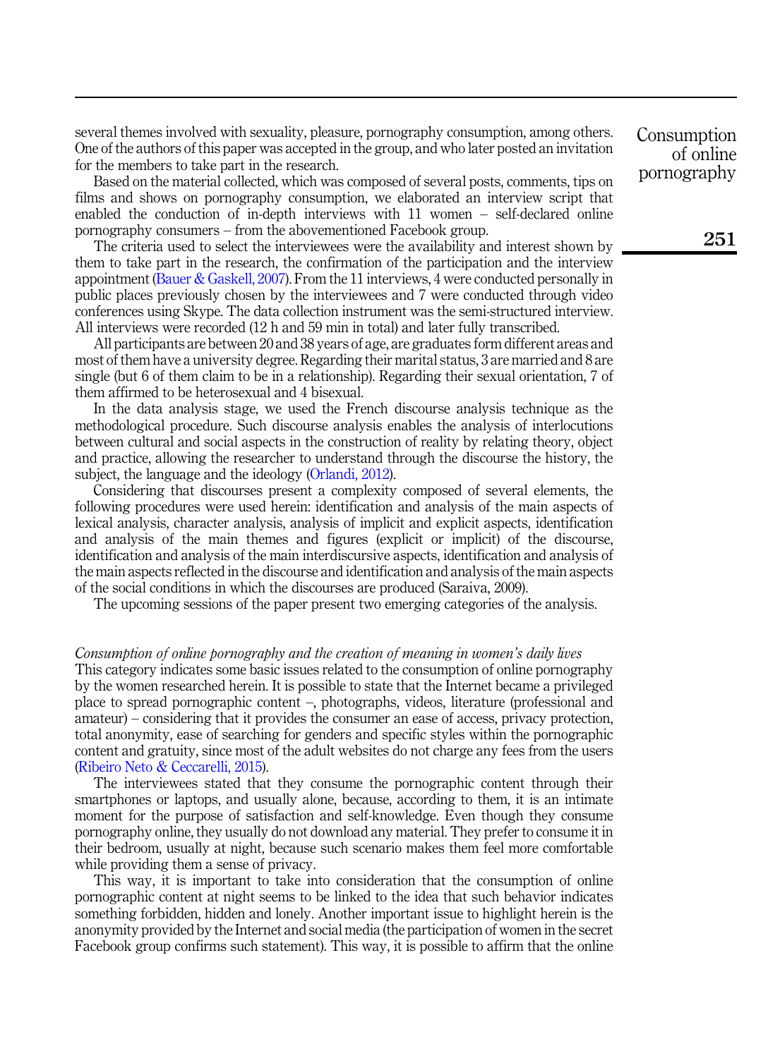several themes involved with sexuality, pleasure, pornography consumption, among others. One of the authors of this paper was accepted in the group, and who later posted an invitation for the members to take part in the research.

Based on the material collected, which was composed of several posts, comments, tips on films and shows on pornography consumption, we elaborated an interview script that enabled the conduction of in-depth interviews with 11 women – self-declared online pornography consumers – from the abovementioned Facebook group.

The criteria used to select the interviewees were the availability and interest shown by them to take part in the research, the confirmation of the participation and the interview appointment (Bauer & Gaskell, 2007). From the 11 interviews, 4 were conducted personally in public places previously chosen by the interviewees and 7 were conducted through video conferences using Skype. The data collection instrument was the semi-structured interview. All interviews were recorded (12 h and 59 min in total) and later fully transcribed.

All participants are between 20 and 38 years of age, are graduates form different areas and most of them have a university degree. Regarding their marital status, 3 are married and 8 are single (but 6 of them claim to be in a relationship). Regarding their sexual orientation, 7 of them affirmed to be heterosexual and 4 bisexual.

In the data analysis stage, we used the French discourse analysis technique as the methodological procedure. Such discourse analysis enables the analysis of interlocutions between cultural and social aspects in the construction of reality by relating theory, object and practice, allowing the researcher to understand through the discourse the history, the subject, the language and the ideology (Orlandi, 2012).

Considering that discourses present a complexity composed of several elements, the following procedures were used herein: identification and analysis of the main aspects of lexical analysis, character analysis, analysis of implicit and explicit aspects, identification and analysis of the main themes and figures (explicit or implicit) of the discourse, identification and analysis of the main interdiscursive aspects, identification and analysis of the main aspects reflected in the discourse and identification and analysis of the main aspects of the social conditions in which the discourses are produced (Saraiva, 2009).

The upcoming sessions of the paper present two emerging categories of the analysis.

#### Consumption of online pornography and the creation of meaning in women's daily lives

This category indicates some basic issues related to the consumption of online pornography by the women researched herein. It is possible to state that the Internet became a privileged place to spread pornographic content –, photographs, videos, literature (professional and amateur) – considering that it provides the consumer an ease of access, privacy protection, total anonymity, ease of searching for genders and specific styles within the pornographic content and gratuity, since most of the adult websites do not charge any fees from the users (Ribeiro Neto & Ceccarelli, 2015).

The interviewees stated that they consume the pornographic content through their smartphones or laptops, and usually alone, because, according to them, it is an intimate moment for the purpose of satisfaction and self-knowledge. Even though they consume pornography online, they usually do not download any material. They prefer to consume it in their bedroom, usually at night, because such scenario makes them feel more comfortable while providing them a sense of privacy.

This way, it is important to take into consideration that the consumption of online pornographic content at night seems to be linked to the idea that such behavior indicates something forbidden, hidden and lonely. Another important issue to highlight herein is the anonymity provided by the Internet and social media (the participation of women in the secret Facebook group confirms such statement). This way, it is possible to affirm that the online

Consumption of online pornography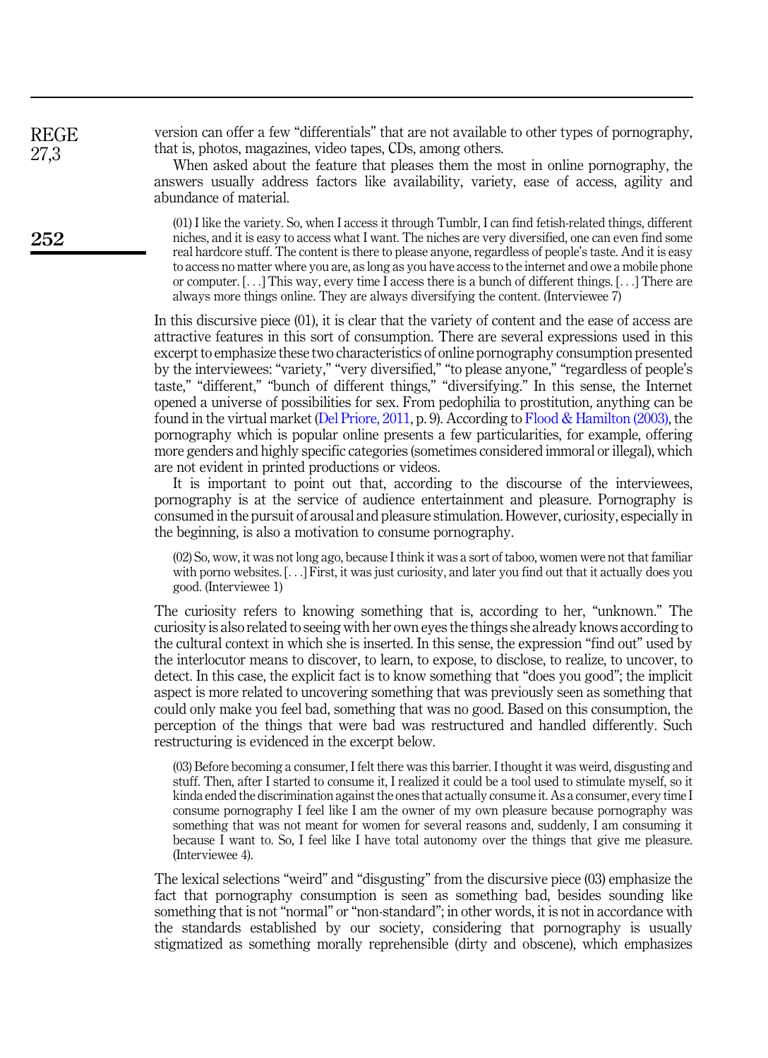version can offer a few "differentials" that are not available to other types of pornography, that is, photos, magazines, video tapes, CDs, among others.

When asked about the feature that pleases them the most in online pornography, the answers usually address factors like availability, variety, ease of access, agility and abundance of material.

(01) I like the variety. So, when I access it through Tumblr, I can find fetish-related things, different niches, and it is easy to access what I want. The niches are very diversified, one can even find some real hardcore stuff. The content is there to please anyone, regardless of people's taste. And it is easy to access no matter where you are, as long as you have access to the internet and owe a mobile phone or computer. [...] This way, every time I access there is a bunch of different things. [...] There are always more things online. They are always diversifying the content. (Interviewee 7)

In this discursive piece (01), it is clear that the variety of content and the ease of access are attractive features in this sort of consumption. There are several expressions used in this excerpt to emphasize these two characteristics of online pornography consumption presented by the interviewees: "variety," "very diversified," "to please anyone," "regardless of people's taste," "different," "bunch of different things," "diversifying." In this sense, the Internet opened a universe of possibilities for sex. From pedophilia to prostitution, anything can be found in the virtual market (Del Priore, 2011, p. 9). According to Flood & Hamilton (2003), the pornography which is popular online presents a few particularities, for example, offering more genders and highly specific categories (sometimes considered immoral or illegal), which are not evident in printed productions or videos.

It is important to point out that, according to the discourse of the interviewees, pornography is at the service of audience entertainment and pleasure. Pornography is consumed in the pursuit of arousal and pleasure stimulation. However, curiosity, especially in the beginning, is also a motivation to consume pornography.

(02) So, wow, it was not long ago, because I think it was a sort of taboo, women were not that familiar with porno websites. [...] First, it was just curiosity, and later you find out that it actually does you good. (Interviewee 1)

The curiosity refers to knowing something that is, according to her, "unknown." The curiosity is also related to seeing with her own eyes the things she already knows according to the cultural context in which she is inserted. In this sense, the expression "find out" used by the interlocutor means to discover, to learn, to expose, to disclose, to realize, to uncover, to detect. In this case, the explicit fact is to know something that "does you good"; the implicit aspect is more related to uncovering something that was previously seen as something that could only make you feel bad, something that was no good. Based on this consumption, the perception of the things that were bad was restructured and handled differently. Such restructuring is evidenced in the excerpt below.

(03) Before becoming a consumer, I felt there was this barrier. I thought it was weird, disgusting and stuff. Then, after I started to consume it, I realized it could be a tool used to stimulate myself, so it kinda ended the discrimination against the ones that actually consume it. As a consumer, every time I consume pornography I feel like I am the owner of my own pleasure because pornography was something that was not meant for women for several reasons and, suddenly, I am consuming it because I want to. So, I feel like I have total autonomy over the things that give me pleasure. (Interviewee 4).

The lexical selections "weird" and "disgusting" from the discursive piece (03) emphasize the fact that pornography consumption is seen as something bad, besides sounding like something that is not "normal" or "non-standard"; in other words, it is not in accordance with the standards established by our society, considering that pornography is usually stigmatized as something morally reprehensible (dirty and obscene), which emphasizes

252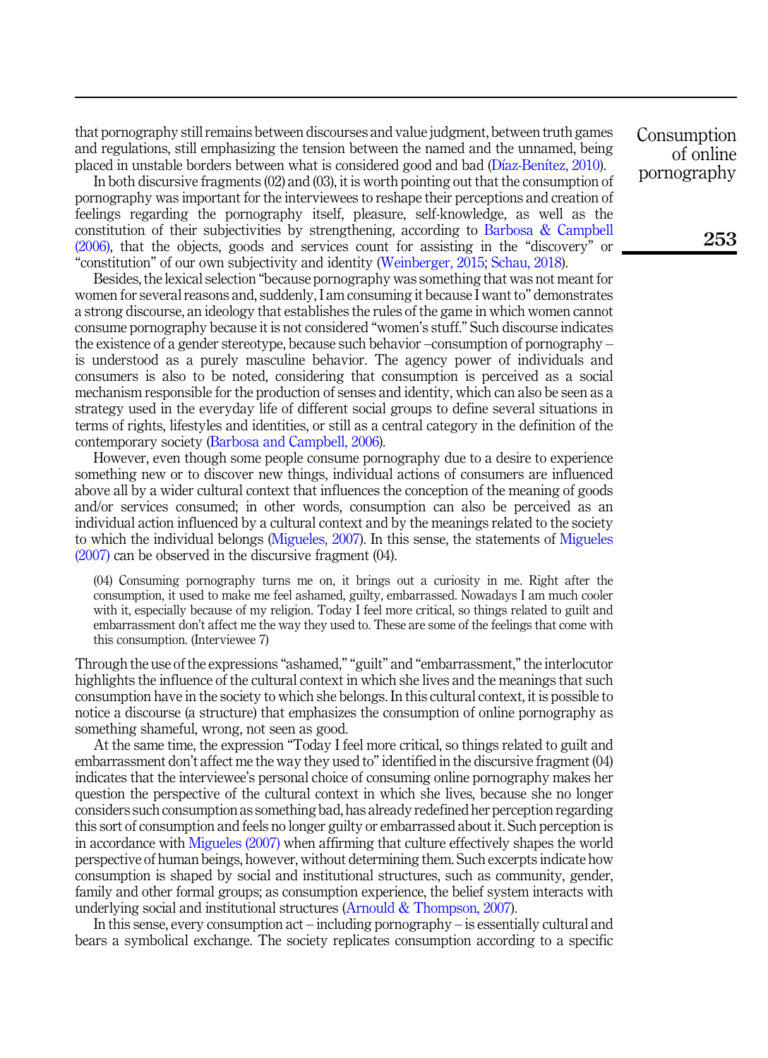that pornography still remains between discourses and value judgment, between truth games and regulations, still emphasizing the tension between the named and the unnamed, being placed in unstable borders between what is considered good and bad (Dıaz-Benıtez, 2010).

In both discursive fragments (02) and (03), it is worth pointing out that the consumption of pornography was important for the interviewees to reshape their perceptions and creation of feelings regarding the pornography itself, pleasure, self-knowledge, as well as the constitution of their subjectivities by strengthening, according to Barbosa & Campbell (2006), that the objects, goods and services count for assisting in the "discovery" or "constitution" of our own subjectivity and identity (Weinberger, 2015; Schau, 2018).

Besides, the lexical selection "because pornography was something that was not meant for women for several reasons and, suddenly, I am consuming it because I want to" demonstrates a strong discourse, an ideology that establishes the rules of the game in which women cannot consume pornography because it is not considered "women's stuff." Such discourse indicates the existence of a gender stereotype, because such behavior –consumption of pornography – is understood as a purely masculine behavior. The agency power of individuals and consumers is also to be noted, considering that consumption is perceived as a social mechanism responsible for the production of senses and identity, which can also be seen as a strategy used in the everyday life of different social groups to define several situations in terms of rights, lifestyles and identities, or still as a central category in the definition of the contemporary society (Barbosa and Campbell, 2006).

However, even though some people consume pornography due to a desire to experience something new or to discover new things, individual actions of consumers are influenced above all by a wider cultural context that influences the conception of the meaning of goods and/or services consumed; in other words, consumption can also be perceived as an individual action influenced by a cultural context and by the meanings related to the society to which the individual belongs (Migueles, 2007). In this sense, the statements of Migueles (2007) can be observed in the discursive fragment (04).

(04) Consuming pornography turns me on, it brings out a curiosity in me. Right after the consumption, it used to make me feel ashamed, guilty, embarrassed. Nowadays I am much cooler with it, especially because of my religion. Today I feel more critical, so things related to guilt and embarrassment don't affect me the way they used to. These are some of the feelings that come with this consumption. (Interviewee 7)

Through the use of the expressions "ashamed," "guilt" and "embarrassment,"the interlocutor highlights the influence of the cultural context in which she lives and the meanings that such consumption have in the society to which she belongs. In this cultural context, it is possible to notice a discourse (a structure) that emphasizes the consumption of online pornography as something shameful, wrong, not seen as good.

At the same time, the expression "Today I feel more critical, so things related to guilt and embarrassment don't affect me the way they used to"identified in the discursive fragment (04) indicates that the interviewee's personal choice of consuming online pornography makes her question the perspective of the cultural context in which she lives, because she no longer considers such consumption as something bad, has already redefined her perception regarding this sort of consumption and feels no longer guilty or embarrassed about it. Such perception is in accordance with Migueles (2007) when affirming that culture effectively shapes the world perspective of human beings, however, without determining them. Such excerpts indicate how consumption is shaped by social and institutional structures, such as community, gender, family and other formal groups; as consumption experience, the belief system interacts with underlying social and institutional structures (Arnould & Thompson, 2007).

In this sense, every consumption act – including pornography – is essentially cultural and bears a symbolical exchange. The society replicates consumption according to a specific

Consumption of online pornography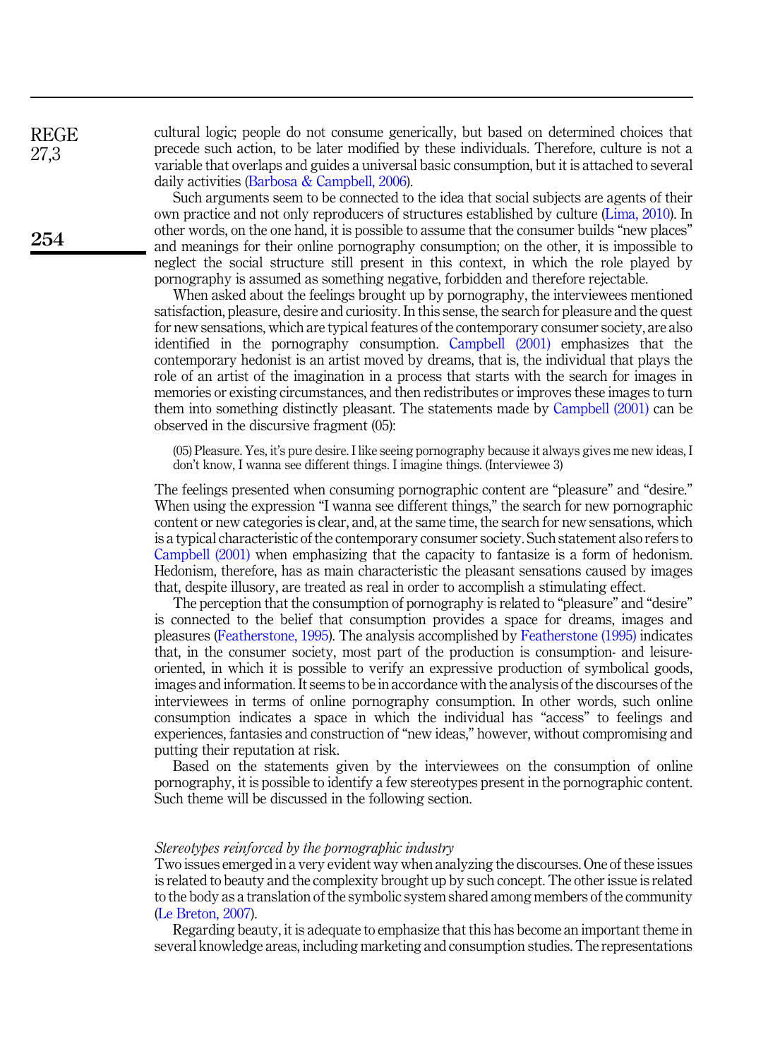cultural logic; people do not consume generically, but based on determined choices that precede such action, to be later modified by these individuals. Therefore, culture is not a variable that overlaps and guides a universal basic consumption, but it is attached to several daily activities (Barbosa & Campbell, 2006).

Such arguments seem to be connected to the idea that social subjects are agents of their own practice and not only reproducers of structures established by culture (Lima, 2010). In other words, on the one hand, it is possible to assume that the consumer builds "new places" and meanings for their online pornography consumption; on the other, it is impossible to neglect the social structure still present in this context, in which the role played by pornography is assumed as something negative, forbidden and therefore rejectable.

When asked about the feelings brought up by pornography, the interviewees mentioned satisfaction, pleasure, desire and curiosity. In this sense, the search for pleasure and the quest for new sensations, which are typical features of the contemporary consumer society, are also identified in the pornography consumption. Campbell (2001) emphasizes that the contemporary hedonist is an artist moved by dreams, that is, the individual that plays the role of an artist of the imagination in a process that starts with the search for images in memories or existing circumstances, and then redistributes or improves these images to turn them into something distinctly pleasant. The statements made by Campbell (2001) can be observed in the discursive fragment (05):

(05) Pleasure. Yes, it's pure desire. I like seeing pornography because it always gives me new ideas, I don't know, I wanna see different things. I imagine things. (Interviewee 3)

The feelings presented when consuming pornographic content are "pleasure" and "desire." When using the expression "I wanna see different things," the search for new pornographic content or new categories is clear, and, at the same time, the search for new sensations, which is a typical characteristic of the contemporary consumer society. Such statement also refers to Campbell (2001) when emphasizing that the capacity to fantasize is a form of hedonism. Hedonism, therefore, has as main characteristic the pleasant sensations caused by images that, despite illusory, are treated as real in order to accomplish a stimulating effect.

The perception that the consumption of pornography is related to "pleasure" and "desire" is connected to the belief that consumption provides a space for dreams, images and pleasures (Featherstone, 1995). The analysis accomplished by Featherstone (1995) indicates that, in the consumer society, most part of the production is consumption- and leisureoriented, in which it is possible to verify an expressive production of symbolical goods, images and information. It seems to be in accordance with the analysis of the discourses of the interviewees in terms of online pornography consumption. In other words, such online consumption indicates a space in which the individual has "access" to feelings and experiences, fantasies and construction of "new ideas," however, without compromising and putting their reputation at risk.

Based on the statements given by the interviewees on the consumption of online pornography, it is possible to identify a few stereotypes present in the pornographic content. Such theme will be discussed in the following section.

# Stereotypes reinforced by the pornographic industry

Two issues emerged in a very evident way when analyzing the discourses. One of these issues is related to beauty and the complexity brought up by such concept. The other issue is related to the body as a translation of the symbolic system shared among members of the community (Le Breton, 2007).

Regarding beauty, it is adequate to emphasize that this has become an important theme in several knowledge areas, including marketing and consumption studies. The representations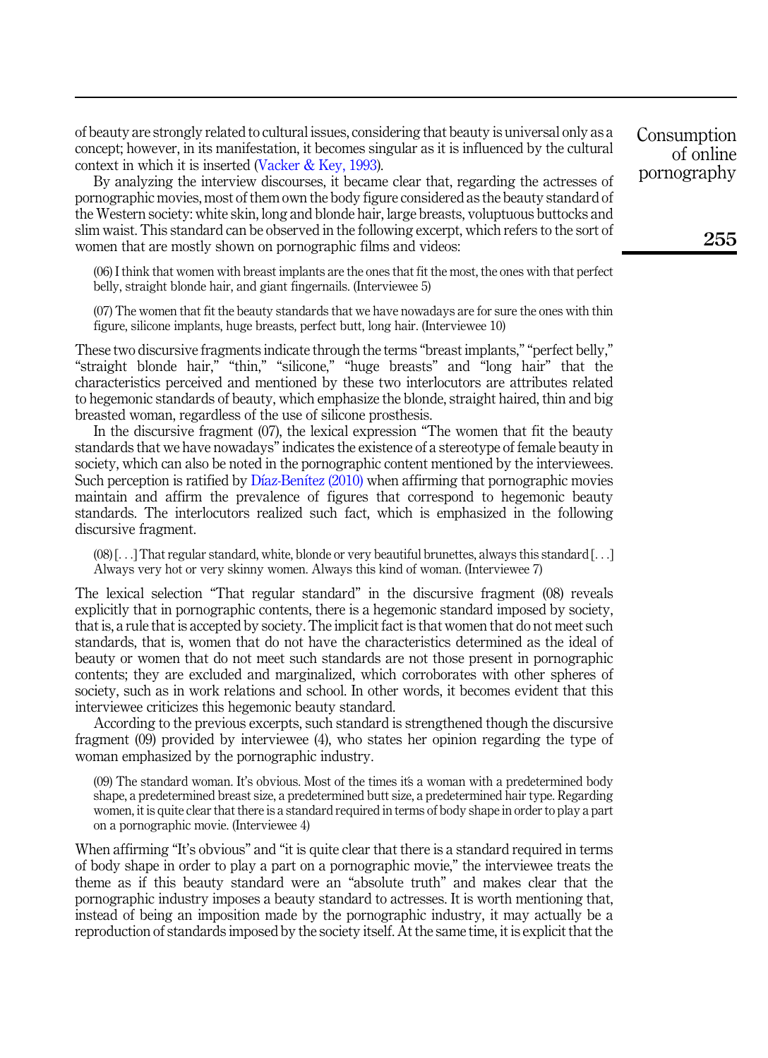of beauty are strongly related to cultural issues, considering that beauty is universal only as a concept; however, in its manifestation, it becomes singular as it is influenced by the cultural context in which it is inserted (Vacker & Key, 1993).

By analyzing the interview discourses, it became clear that, regarding the actresses of pornographic movies, most of them own the body figure considered as the beauty standard of the Western society: white skin, long and blonde hair, large breasts, voluptuous buttocks and slim waist. This standard can be observed in the following excerpt, which refers to the sort of women that are mostly shown on pornographic films and videos:

(06) I think that women with breast implants are the ones that fit the most, the ones with that perfect belly, straight blonde hair, and giant fingernails. (Interviewee 5)

(07) The women that fit the beauty standards that we have nowadays are for sure the ones with thin figure, silicone implants, huge breasts, perfect butt, long hair. (Interviewee 10)

These two discursive fragments indicate through the terms "breast implants," "perfect belly," "straight blonde hair," "thin," "silicone," "huge breasts" and "long hair" that the characteristics perceived and mentioned by these two interlocutors are attributes related to hegemonic standards of beauty, which emphasize the blonde, straight haired, thin and big breasted woman, regardless of the use of silicone prosthesis.

In the discursive fragment (07), the lexical expression "The women that fit the beauty standards that we have nowadays"indicates the existence of a stereotype of female beauty in society, which can also be noted in the pornographic content mentioned by the interviewees. Such perception is ratified by Díaz-Benítez (2010) when affirming that pornographic movies maintain and affirm the prevalence of figures that correspond to hegemonic beauty standards. The interlocutors realized such fact, which is emphasized in the following discursive fragment.

(08) [...] That regular standard, white, blonde or very beautiful brunettes, always this standard [...] Always very hot or very skinny women. Always this kind of woman. (Interviewee 7)

The lexical selection "That regular standard" in the discursive fragment (08) reveals explicitly that in pornographic contents, there is a hegemonic standard imposed by society, that is, a rule that is accepted by society. The implicit fact is that women that do not meet such standards, that is, women that do not have the characteristics determined as the ideal of beauty or women that do not meet such standards are not those present in pornographic contents; they are excluded and marginalized, which corroborates with other spheres of society, such as in work relations and school. In other words, it becomes evident that this interviewee criticizes this hegemonic beauty standard.

According to the previous excerpts, such standard is strengthened though the discursive fragment (09) provided by interviewee (4), who states her opinion regarding the type of woman emphasized by the pornographic industry.

(09) The standard woman. It's obvious. Most of the times its a woman with a predetermined body shape, a predetermined breast size, a predetermined butt size, a predetermined hair type. Regarding women, it is quite clear that there is a standard required in terms of body shape in order to play a part on a pornographic movie. (Interviewee 4)

When affirming "It's obvious" and "it is quite clear that there is a standard required in terms of body shape in order to play a part on a pornographic movie," the interviewee treats the theme as if this beauty standard were an "absolute truth" and makes clear that the pornographic industry imposes a beauty standard to actresses. It is worth mentioning that, instead of being an imposition made by the pornographic industry, it may actually be a reproduction of standards imposed by the society itself. At the same time, it is explicit that the Consumption of online pornography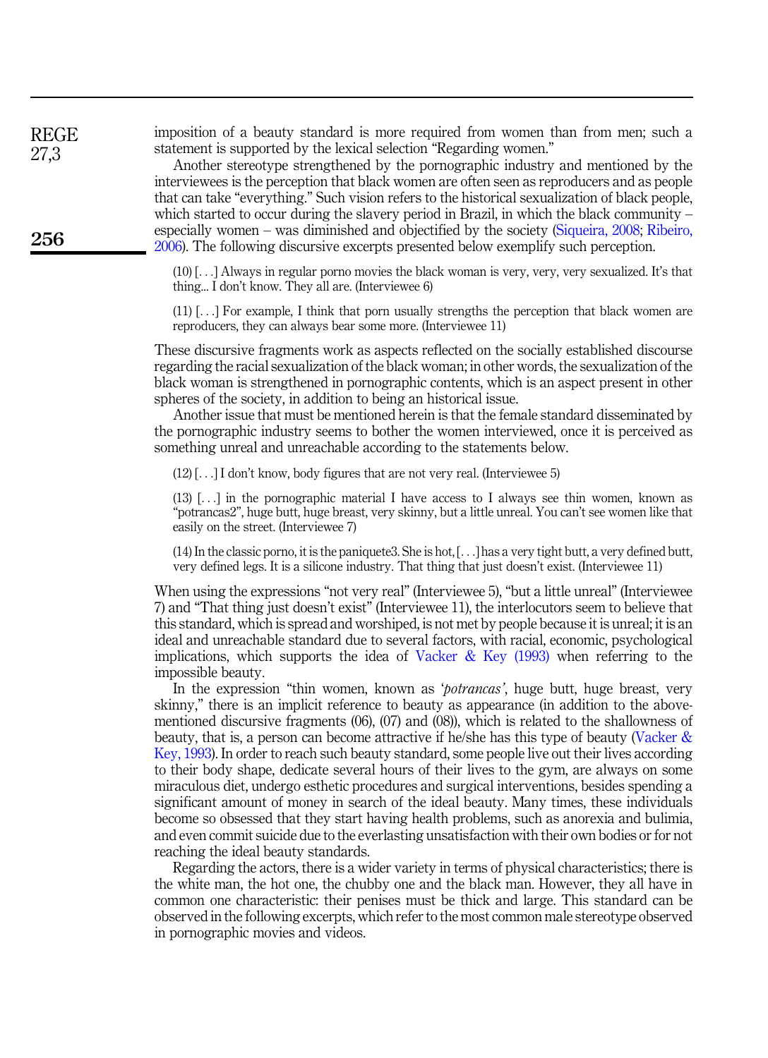imposition of a beauty standard is more required from women than from men; such a statement is supported by the lexical selection "Regarding women."

> Another stereotype strengthened by the pornographic industry and mentioned by the interviewees is the perception that black women are often seen as reproducers and as people that can take "everything." Such vision refers to the historical sexualization of black people, which started to occur during the slavery period in Brazil, in which the black community – especially women – was diminished and objectified by the society (Siqueira, 2008; Ribeiro, 2006). The following discursive excerpts presented below exemplify such perception.

(10) [...] Always in regular porno movies the black woman is very, very, very sexualized. It's that thing... I don't know. They all are. (Interviewee 6)

(11) [...] For example, I think that porn usually strengths the perception that black women are reproducers, they can always bear some more. (Interviewee 11)

These discursive fragments work as aspects reflected on the socially established discourse regarding the racial sexualization of the black woman; in other words, the sexualization of the black woman is strengthened in pornographic contents, which is an aspect present in other spheres of the society, in addition to being an historical issue.

Another issue that must be mentioned herein is that the female standard disseminated by the pornographic industry seems to bother the women interviewed, once it is perceived as something unreal and unreachable according to the statements below.

(12) [...] I don't know, body figures that are not very real. (Interviewee 5)

(13) [...] in the pornographic material I have access to I always see thin women, known as "potrancas2", huge butt, huge breast, very skinny, but a little unreal. You can't see women like that easily on the street. (Interviewee 7)

(14) In the classic porno, it is the paniquete3. She is hot, [...] has a very tight butt, a very defined butt, very defined legs. It is a silicone industry. That thing that just doesn't exist. (Interviewee 11)

When using the expressions "not very real" (Interviewee 5), "but a little unreal" (Interviewee 7) and "That thing just doesn't exist" (Interviewee 11), the interlocutors seem to believe that this standard, which is spread and worshiped, is not met by people because it is unreal; it is an ideal and unreachable standard due to several factors, with racial, economic, psychological implications, which supports the idea of Vacker  $\&$  Key (1993) when referring to the impossible beauty.

In the expression "thin women, known as '*potrancas*', huge butt, huge breast, very skinny," there is an implicit reference to beauty as appearance (in addition to the abovementioned discursive fragments (06), (07) and (08)), which is related to the shallowness of beauty, that is, a person can become attractive if he/she has this type of beauty (Vacker & Key, 1993). In order to reach such beauty standard, some people live out their lives according to their body shape, dedicate several hours of their lives to the gym, are always on some miraculous diet, undergo esthetic procedures and surgical interventions, besides spending a significant amount of money in search of the ideal beauty. Many times, these individuals become so obsessed that they start having health problems, such as anorexia and bulimia, and even commit suicide due to the everlasting unsatisfaction with their own bodies or for not reaching the ideal beauty standards.

Regarding the actors, there is a wider variety in terms of physical characteristics; there is the white man, the hot one, the chubby one and the black man. However, they all have in common one characteristic: their penises must be thick and large. This standard can be observed in the following excerpts, which refer to the most common male stereotype observed in pornographic movies and videos.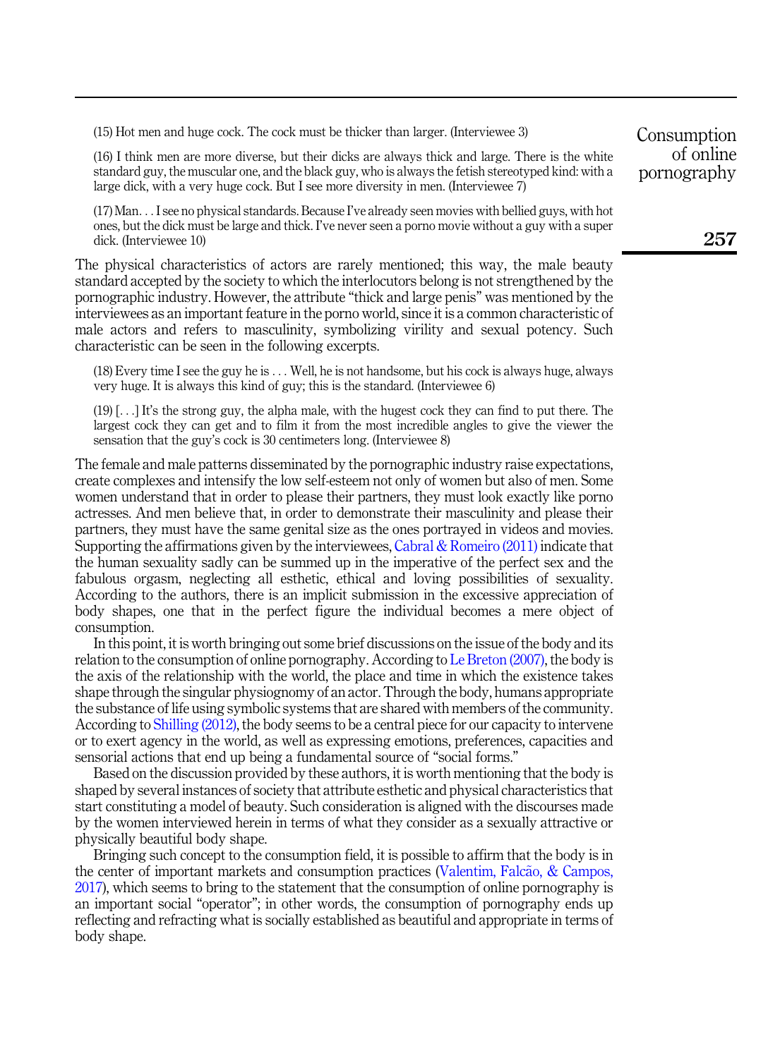(15) Hot men and huge cock. The cock must be thicker than larger. (Interviewee 3)

(16) I think men are more diverse, but their dicks are always thick and large. There is the white standard guy, the muscular one, and the black guy, who is always the fetish stereotyped kind: with a large dick, with a very huge cock. But I see more diversity in men. (Interviewee 7)

(17) Man... I see no physical standards. Because I've already seen movies with bellied guys, with hot ones, but the dick must be large and thick. I've never seen a porno movie without a guy with a super dick. (Interviewee 10)

The physical characteristics of actors are rarely mentioned; this way, the male beauty standard accepted by the society to which the interlocutors belong is not strengthened by the pornographic industry. However, the attribute "thick and large penis" was mentioned by the interviewees as an important feature in the porno world, since it is a common characteristic of male actors and refers to masculinity, symbolizing virility and sexual potency. Such characteristic can be seen in the following excerpts.

(18) Every time I see the guy he is ... Well, he is not handsome, but his cock is always huge, always very huge. It is always this kind of guy; this is the standard. (Interviewee 6)

(19) [...] It's the strong guy, the alpha male, with the hugest cock they can find to put there. The largest cock they can get and to film it from the most incredible angles to give the viewer the sensation that the guy's cock is 30 centimeters long. (Interviewee 8)

The female and male patterns disseminated by the pornographic industry raise expectations, create complexes and intensify the low self-esteem not only of women but also of men. Some women understand that in order to please their partners, they must look exactly like porno actresses. And men believe that, in order to demonstrate their masculinity and please their partners, they must have the same genital size as the ones portrayed in videos and movies. Supporting the affirmations given by the interviewees, Cabral & Romeiro  $(2011)$  indicate that the human sexuality sadly can be summed up in the imperative of the perfect sex and the fabulous orgasm, neglecting all esthetic, ethical and loving possibilities of sexuality. According to the authors, there is an implicit submission in the excessive appreciation of body shapes, one that in the perfect figure the individual becomes a mere object of consumption.

In this point, it is worth bringing out some brief discussions on the issue of the body and its relation to the consumption of online pornography. According to Le Breton (2007), the body is the axis of the relationship with the world, the place and time in which the existence takes shape through the singular physiognomy of an actor. Through the body, humans appropriate the substance of life using symbolic systems that are shared with members of the community. According to Shilling (2012), the body seems to be a central piece for our capacity to intervene or to exert agency in the world, as well as expressing emotions, preferences, capacities and sensorial actions that end up being a fundamental source of "social forms."

Based on the discussion provided by these authors, it is worth mentioning that the body is shaped by several instances of society that attribute esthetic and physical characteristics that start constituting a model of beauty. Such consideration is aligned with the discourses made by the women interviewed herein in terms of what they consider as a sexually attractive or physically beautiful body shape.

Bringing such concept to the consumption field, it is possible to affirm that the body is in the center of important markets and consumption practices (Valentim, Falcão,  $&$ Campos, 2017), which seems to bring to the statement that the consumption of online pornography is an important social "operator"; in other words, the consumption of pornography ends up reflecting and refracting what is socially established as beautiful and appropriate in terms of body shape.

Consumption of online pornography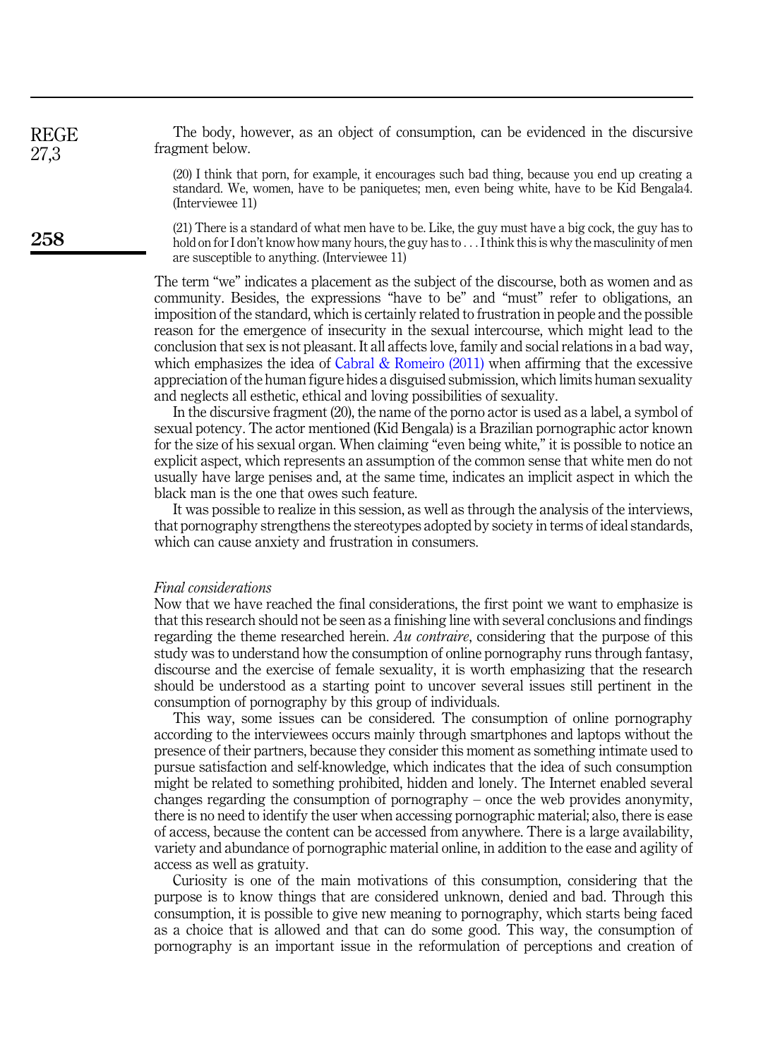The body, however, as an object of consumption, can be evidenced in the discursive fragment below.

(20) I think that porn, for example, it encourages such bad thing, because you end up creating a standard. We, women, have to be paniquetes; men, even being white, have to be Kid Bengala4. (Interviewee 11)

(21) There is a standard of what men have to be. Like, the guy must have a big cock, the guy has to hold on for I don't know how many hours, the guy has to ... I think this is why the masculinity of men are susceptible to anything. (Interviewee 11)

The term "we" indicates a placement as the subject of the discourse, both as women and as community. Besides, the expressions "have to be" and "must" refer to obligations, an imposition of the standard, which is certainly related to frustration in people and the possible reason for the emergence of insecurity in the sexual intercourse, which might lead to the conclusion that sex is not pleasant. It all affects love, family and social relations in a bad way, which emphasizes the idea of Cabral & Romeiro  $(2011)$  when affirming that the excessive appreciation of the human figure hides a disguised submission, which limits human sexuality and neglects all esthetic, ethical and loving possibilities of sexuality.

In the discursive fragment (20), the name of the porno actor is used as a label, a symbol of sexual potency. The actor mentioned (Kid Bengala) is a Brazilian pornographic actor known for the size of his sexual organ. When claiming "even being white," it is possible to notice an explicit aspect, which represents an assumption of the common sense that white men do not usually have large penises and, at the same time, indicates an implicit aspect in which the black man is the one that owes such feature.

It was possible to realize in this session, as well as through the analysis of the interviews, that pornography strengthens the stereotypes adopted by society in terms of ideal standards, which can cause anxiety and frustration in consumers.

#### Final considerations

Now that we have reached the final considerations, the first point we want to emphasize is that this research should not be seen as a finishing line with several conclusions and findings regarding the theme researched herein. Au contraire, considering that the purpose of this study was to understand how the consumption of online pornography runs through fantasy, discourse and the exercise of female sexuality, it is worth emphasizing that the research should be understood as a starting point to uncover several issues still pertinent in the consumption of pornography by this group of individuals.

This way, some issues can be considered. The consumption of online pornography according to the interviewees occurs mainly through smartphones and laptops without the presence of their partners, because they consider this moment as something intimate used to pursue satisfaction and self-knowledge, which indicates that the idea of such consumption might be related to something prohibited, hidden and lonely. The Internet enabled several changes regarding the consumption of pornography – once the web provides anonymity, there is no need to identify the user when accessing pornographic material; also, there is ease of access, because the content can be accessed from anywhere. There is a large availability, variety and abundance of pornographic material online, in addition to the ease and agility of access as well as gratuity.

Curiosity is one of the main motivations of this consumption, considering that the purpose is to know things that are considered unknown, denied and bad. Through this consumption, it is possible to give new meaning to pornography, which starts being faced as a choice that is allowed and that can do some good. This way, the consumption of pornography is an important issue in the reformulation of perceptions and creation of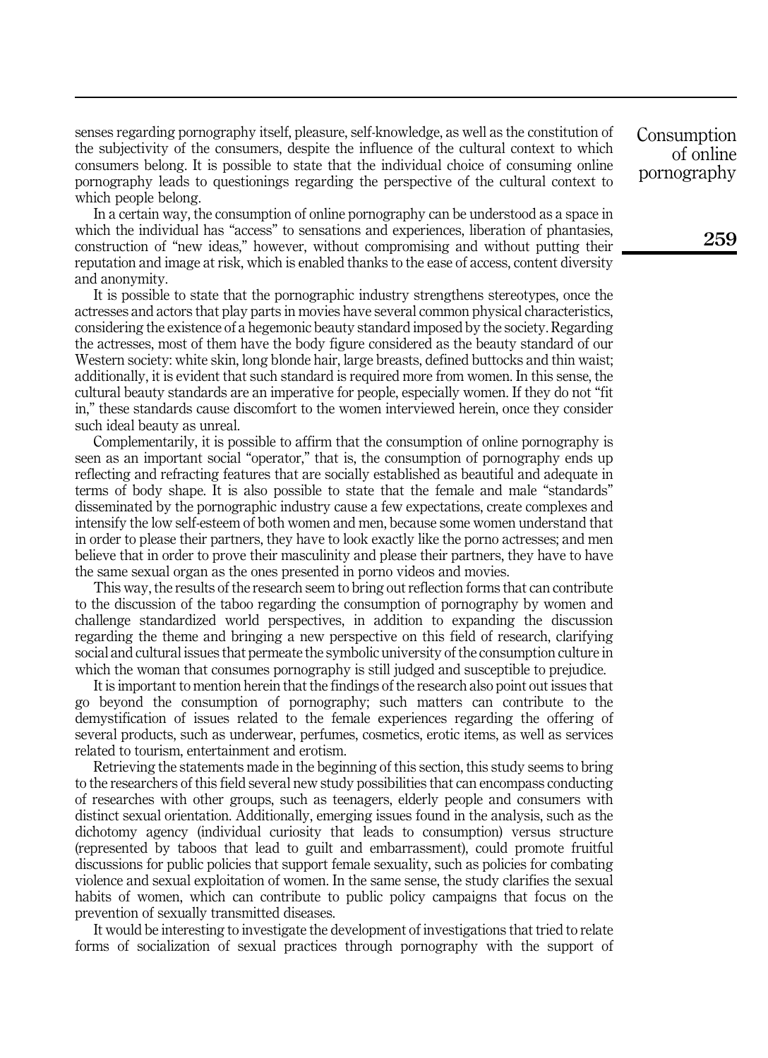senses regarding pornography itself, pleasure, self-knowledge, as well as the constitution of the subjectivity of the consumers, despite the influence of the cultural context to which consumers belong. It is possible to state that the individual choice of consuming online pornography leads to questionings regarding the perspective of the cultural context to which people belong.

In a certain way, the consumption of online pornography can be understood as a space in which the individual has "access" to sensations and experiences, liberation of phantasies, construction of "new ideas," however, without compromising and without putting their reputation and image at risk, which is enabled thanks to the ease of access, content diversity and anonymity.

It is possible to state that the pornographic industry strengthens stereotypes, once the actresses and actors that play parts in movies have several common physical characteristics, considering the existence of a hegemonic beauty standard imposed by the society. Regarding the actresses, most of them have the body figure considered as the beauty standard of our Western society: white skin, long blonde hair, large breasts, defined buttocks and thin waist; additionally, it is evident that such standard is required more from women. In this sense, the cultural beauty standards are an imperative for people, especially women. If they do not "fit in," these standards cause discomfort to the women interviewed herein, once they consider such ideal beauty as unreal.

Complementarily, it is possible to affirm that the consumption of online pornography is seen as an important social "operator," that is, the consumption of pornography ends up reflecting and refracting features that are socially established as beautiful and adequate in terms of body shape. It is also possible to state that the female and male "standards" disseminated by the pornographic industry cause a few expectations, create complexes and intensify the low self-esteem of both women and men, because some women understand that in order to please their partners, they have to look exactly like the porno actresses; and men believe that in order to prove their masculinity and please their partners, they have to have the same sexual organ as the ones presented in porno videos and movies.

This way, the results of the research seem to bring out reflection forms that can contribute to the discussion of the taboo regarding the consumption of pornography by women and challenge standardized world perspectives, in addition to expanding the discussion regarding the theme and bringing a new perspective on this field of research, clarifying social and cultural issues that permeate the symbolic university of the consumption culture in which the woman that consumes pornography is still judged and susceptible to prejudice.

It is important to mention herein that the findings of the research also point out issues that go beyond the consumption of pornography; such matters can contribute to the demystification of issues related to the female experiences regarding the offering of several products, such as underwear, perfumes, cosmetics, erotic items, as well as services related to tourism, entertainment and erotism.

Retrieving the statements made in the beginning of this section, this study seems to bring to the researchers of this field several new study possibilities that can encompass conducting of researches with other groups, such as teenagers, elderly people and consumers with distinct sexual orientation. Additionally, emerging issues found in the analysis, such as the dichotomy agency (individual curiosity that leads to consumption) versus structure (represented by taboos that lead to guilt and embarrassment), could promote fruitful discussions for public policies that support female sexuality, such as policies for combating violence and sexual exploitation of women. In the same sense, the study clarifies the sexual habits of women, which can contribute to public policy campaigns that focus on the prevention of sexually transmitted diseases.

It would be interesting to investigate the development of investigations that tried to relate forms of socialization of sexual practices through pornography with the support of Consumption of online pornography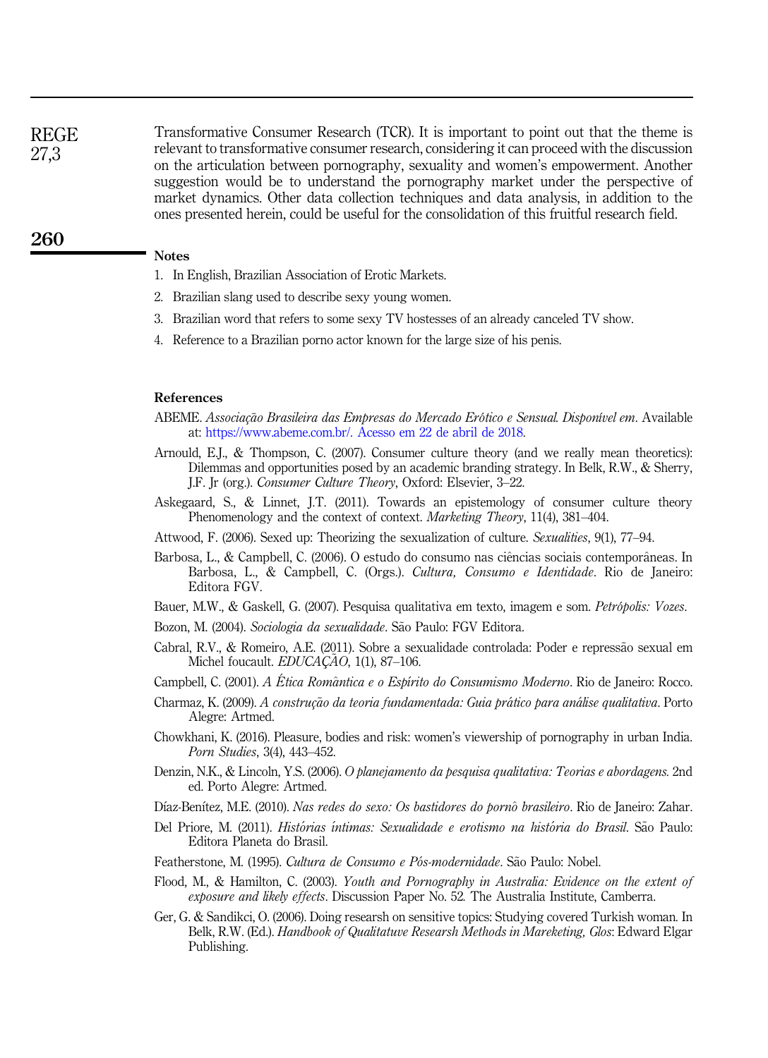Transformative Consumer Research (TCR). It is important to point out that the theme is relevant to transformative consumer research, considering it can proceed with the discussion on the articulation between pornography, sexuality and women's empowerment. Another suggestion would be to understand the pornography market under the perspective of market dynamics. Other data collection techniques and data analysis, in addition to the ones presented herein, could be useful for the consolidation of this fruitful research field. REGE 27,3

# Notes

260

- 1. In English, Brazilian Association of Erotic Markets.
- 2. Brazilian slang used to describe sexy young women.
- 3. Brazilian word that refers to some sexy TV hostesses of an already canceled TV show.
- 4. Reference to a Brazilian porno actor known for the large size of his penis.

#### References

- ABEME. Associação Brasileira das Empresas do Mercado Erótico e Sensual. Disponível em. Available at: [https://www.abeme.com.br/. Acesso em 22 de abril de 2018](https://www.abeme.com.br/.%20Acesso%20em%2022%20de%20abril%20de%202018).
- Arnould, E.J., & Thompson, C. (2007). Consumer culture theory (and we really mean theoretics): Dilemmas and opportunities posed by an academic branding strategy. In Belk, R.W., & Sherry, J.F. Jr (org.). Consumer Culture Theory, Oxford: Elsevier, 3–22.
- Askegaard, S., & Linnet, J.T. (2011). Towards an epistemology of consumer culture theory Phenomenology and the context of context. *Marketing Theory*, 11(4), 381–404.
- Attwood, F. (2006). Sexed up: Theorizing the sexualization of culture. Sexualities, 9(1), 77–94.
- Barbosa, L., & Campbell, C. (2006). O estudo do consumo nas ciências sociais contemporâneas. In Barbosa, L., & Campbell, C. (Orgs.). Cultura, Consumo e Identidade. Rio de Janeiro: Editora FGV.
- Bauer, M.W., & Gaskell, G. (2007). Pesquisa qualitativa em texto, imagem e som. Petrópolis: Vozes.
- Bozon, M. (2004). Sociologia da sexualidade. São Paulo: FGV Editora.
- Cabral, R.V., & Romeiro, A.E. (2011). Sobre a sexualidade controlada: Poder e repressão sexual em Michel foucault. EDUCAÇÃO, 1(1), 87-106.
- Campbell, C. (2001). A Ética Romântica e o Espírito do Consumismo Moderno. Rio de Janeiro: Rocco.
- Charmaz, K. (2009). A construção da teoria fundamentada: Guia prático para análise qualitativa. Porto Alegre: Artmed.
- Chowkhani, K. (2016). Pleasure, bodies and risk: women's viewership of pornography in urban India. Porn Studies, 3(4), 443–452.
- Denzin, N.K., & Lincoln, Y.S. (2006). O planejamento da pesquisa qualitativa: Teorias e abordagens. 2nd ed. Porto Alegre: Artmed.
- Díaz-Benítez, M.E. (2010). Nas redes do sexo: Os bastidores do pornô brasileiro. Rio de Janeiro: Zahar.
- Del Priore, M. (2011). Histórias íntimas: Sexualidade e erotismo na história do Brasil. São Paulo: Editora Planeta do Brasil.
- Featherstone, M. (1995). Cultura de Consumo e Pós-modernidade. São Paulo: Nobel.
- Flood, M., & Hamilton, C. (2003). Youth and Pornography in Australia: Evidence on the extent of exposure and likely effects. Discussion Paper No. 52. The Australia Institute, Camberra.
- Ger, G. & Sandikci, O. (2006). Doing researsh on sensitive topics: Studying covered Turkish woman. In Belk, R.W. (Ed.). *Handbook of Qualitatuve Researsh Methods in Mareketing, Glos: Edward Elgar* Publishing.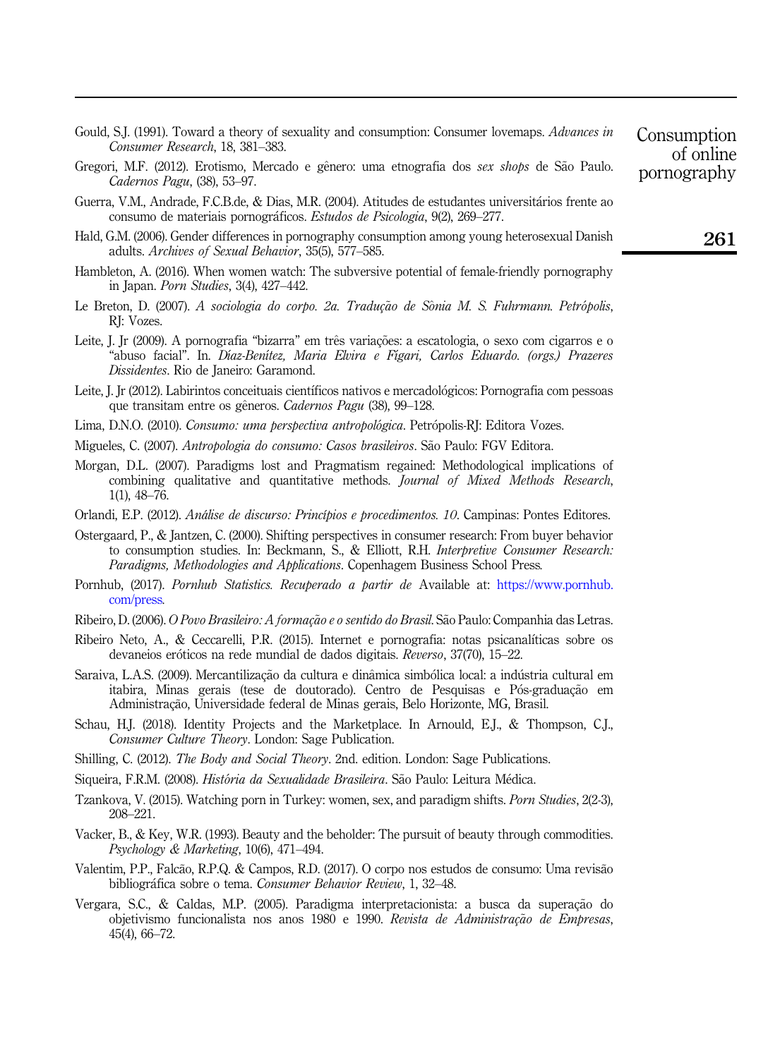| Gould, S.J. (1991). Toward a theory of sexuality and consumption: Consumer lovemaps. Advances in | Consumption |
|--------------------------------------------------------------------------------------------------|-------------|
| Consumer Research, 18, 381–383.                                                                  | of online   |

- Gregori, M.F. (2012). Erotismo, Mercado e gênero: uma etnografia dos sex shops de São Paulo. Cadernos Pagu, (38), 53–97.
- Guerra, V.M., Andrade, F.C.B.de, & Dias, M.R. (2004). Atitudes de estudantes universitarios frente ao consumo de materiais pornograficos. Estudos de Psicologia, 9(2), 269–277.
- Hald, G.M. (2006). Gender differences in pornography consumption among young heterosexual Danish adults. Archives of Sexual Behavior, 35(5), 577–585.
- Hambleton, A. (2016). When women watch: The subversive potential of female-friendly pornography in Japan. Porn Studies, 3(4), 427–442.
- Le Breton, D. (2007). A sociologia do corpo. 2a. Tradução de Sônia M. S. Fuhrmann. Petrópolis, RJ: Vozes.
- Leite, J. Jr (2009). A pornografia "bizarra" em três variações: a escatologia, o sexo com cigarros e o "abuso facial". In. Dıaz-Benıtez, Maria Elvira e Fıgari, Carlos Eduardo. (orgs.) Prazeres Dissidentes. Rio de Janeiro: Garamond.
- Leite, J. Jr (2012). Labirintos conceituais científicos nativos e mercadológicos: Pornografia com pessoas que transitam entre os gêneros. Cadernos Pagu (38), 99–128.
- Lima, D.N.O. (2010). Consumo: uma perspectiva antropológica. Petrópolis-RJ: Editora Vozes.
- Migueles, C. (2007). Antropologia do consumo: Casos brasileiros. São Paulo: FGV Editora.
- Morgan, D.L. (2007). Paradigms lost and Pragmatism regained: Methodological implications of combining qualitative and quantitative methods. Journal of Mixed Methods Research, 1(1), 48–76.
- Orlandi, E.P. (2012). Análise de discurso: Princípios e procedimentos. 10. Campinas: Pontes Editores.
- Ostergaard, P., & Jantzen, C. (2000). Shifting perspectives in consumer research: From buyer behavior to consumption studies. In: Beckmann, S., & Elliott, R.H. Interpretive Consumer Research: Paradigms, Methodologies and Applications. Copenhagem Business School Press.
- Pornhub, (2017). Pornhub Statistics. Recuperado a partir de Available at: [https://www.pornhub.](https://www.pornhub.com/press) [com/press](https://www.pornhub.com/press).
- Ribeiro, D. (2006). *O Povo Brasileiro: A formação e o sentido do Brasil*. São Paulo: Companhia das Letras.
- Ribeiro Neto, A., & Ceccarelli, P.R. (2015). Internet e pornografia: notas psicanalıticas sobre os devaneios eróticos na rede mundial de dados digitais. Reverso, 37(70), 15–22.
- Saraiva, L.A.S. (2009). Mercantilização da cultura e dinâmica simbólica local: a indústria cultural em itabira, Minas gerais (tese de doutorado). Centro de Pesquisas e Pós-graduação em Administraç~ao, Universidade federal de Minas gerais, Belo Horizonte, MG, Brasil.
- Schau, H.J. (2018). Identity Projects and the Marketplace. In Arnould, E.J., & Thompson, C.J., Consumer Culture Theory. London: Sage Publication.
- Shilling, C. (2012). The Body and Social Theory. 2nd. edition. London: Sage Publications.
- Siqueira, F.R.M. (2008). História da Sexualidade Brasileira. São Paulo: Leitura Médica.
- Tzankova, V. (2015). Watching porn in Turkey: women, sex, and paradigm shifts. Porn Studies, 2(2-3), 208–221.
- Vacker, B., & Key, W.R. (1993). Beauty and the beholder: The pursuit of beauty through commodities. Psychology & Marketing, 10(6), 471–494.
- Valentim, P.P., Falcão, R.P.Q. & Campos, R.D. (2017). O corpo nos estudos de consumo: Uma revisão bibliográfica sobre o tema. Consumer Behavior Review, 1, 32–48.
- Vergara, S.C., & Caldas, M.P. (2005). Paradigma interpretacionista: a busca da superação do objetivismo funcionalista nos anos 1980 e 1990. Revista de Administração de Empresas, 45(4), 66–72.

261

of online pornography